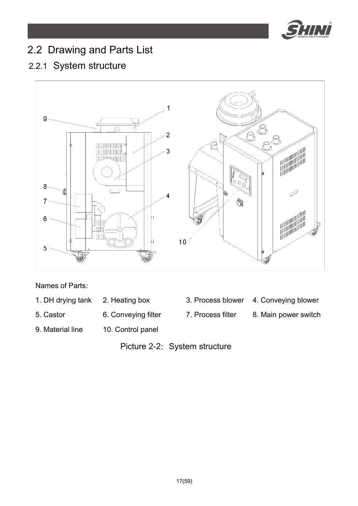

# 2.2 Drawing and Parts List

## 2.2.1 System structure



Names of Parts:

- 1. DH drying tank 2. Heating box 3. Process blower 4. Conveying blower
- 5. Castor 6. Conveying filter 7. Process filter 8. Main power switch
- -
- 
- 
- 9. Material line 10. Control panel
	- Picture 2-2: System structure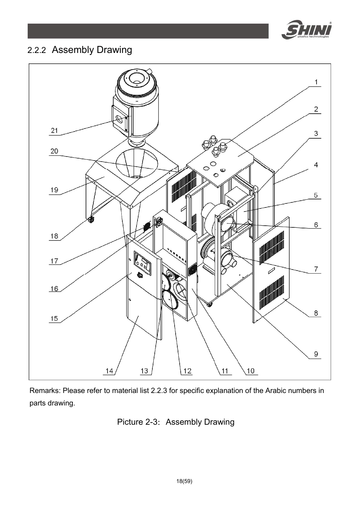

## 2.2.2 Assembly Drawing



Remarks: Please refer to material list 2.2.3 for specific explanation of the Arabic numbers in parts drawing.

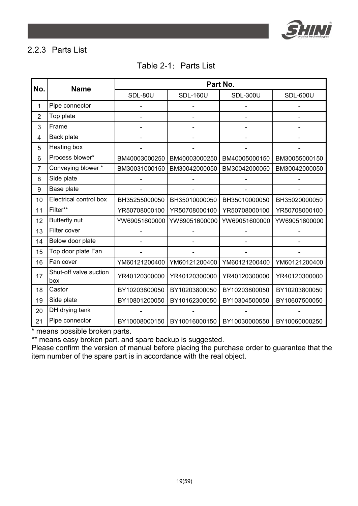

#### 2.2.3 Parts List

| No.            | <b>Name</b>                   | Part No.      |                 |                 |                 |  |
|----------------|-------------------------------|---------------|-----------------|-----------------|-----------------|--|
|                |                               | SDL-80U       | <b>SDL-160U</b> | <b>SDL-300U</b> | <b>SDL-600U</b> |  |
| 1              | Pipe connector                |               |                 |                 |                 |  |
| $\overline{2}$ | Top plate                     |               |                 |                 |                 |  |
| 3              | Frame                         |               |                 |                 |                 |  |
| 4              | Back plate                    |               |                 |                 |                 |  |
| 5              | Heating box                   |               |                 |                 |                 |  |
| 6              | Process blower*               | BM40003000250 | BM40003000250   | BM40005000150   | BM30055000150   |  |
| 7              | Conveying blower *            | BM30031000150 | BM30042000050   | BM30042000050   | BM30042000050   |  |
| 8              | Side plate                    |               |                 |                 |                 |  |
| 9              | Base plate                    |               |                 |                 |                 |  |
| 10             | Electrical control box        | BH35255000050 | BH35010000050   | BH35010000050   | BH35020000050   |  |
| 11             | Filter**                      | YR50708000100 | YR50708000100   | YR50708000100   | YR50708000100   |  |
| 12             | Butterfly nut                 | YW69051600000 | YW69051600000   | YW69051600000   | YW69051600000   |  |
| 13             | Filter cover                  |               |                 |                 |                 |  |
| 14             | Below door plate              |               |                 |                 |                 |  |
| 15             | Top door plate Fan            |               |                 |                 |                 |  |
| 16             | Fan cover                     | YM60121200400 | YM60121200400   | YM60121200400   | YM60121200400   |  |
| 17             | Shut-off valve suction<br>box | YR40120300000 | YR40120300000   | YR40120300000   | YR40120300000   |  |
| 18             | Castor                        | BY10203800050 | BY10203800050   | BY10203800050   | BY10203800050   |  |
| 19             | Side plate                    | BY10801200050 | BY10162300050   | BY10304500050   | BY10607500050   |  |
| 20             | DH drying tank                |               |                 |                 |                 |  |
| 21             | Pipe connector                | BY10008000150 | BY10016000150   | BY10030000550   | BY10060000250   |  |

\* means possible broken parts.

\*\* means easy broken part. and spare backup is suggested.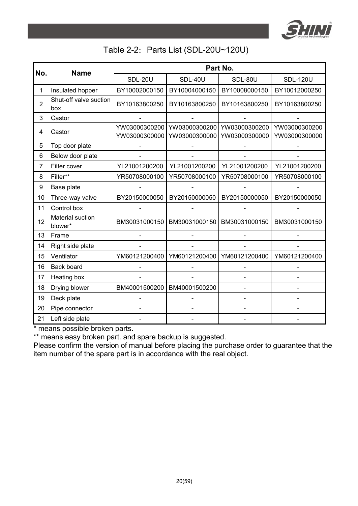

#### Table 2-2: Parts List (SDL-20U~120U)

| No.            | <b>Name</b>                   | Part No.                       |                                |                                |                                |
|----------------|-------------------------------|--------------------------------|--------------------------------|--------------------------------|--------------------------------|
|                |                               | SDL-20U                        | SDL-40U                        | SDL-80U                        | <b>SDL-120U</b>                |
| 1              | Insulated hopper              | BY10002000150                  | BY10004000150                  | BY10008000150                  | BY10012000250                  |
| $\overline{2}$ | Shut-off valve suction<br>box | BY10163800250                  | BY10163800250                  | BY10163800250                  | BY10163800250                  |
| 3              | Castor                        |                                |                                |                                |                                |
| 4              | Castor                        | YW03000300200<br>YW03000300000 | YW03000300200<br>YW03000300000 | YW03000300200<br>YW03000300000 | YW03000300200<br>YW03000300000 |
| 5              | Top door plate                |                                |                                |                                |                                |
| 6              | Below door plate              |                                |                                |                                |                                |
| 7              | Filter cover                  | YL21001200200                  | YL21001200200                  | YL21001200200                  | YL21001200200                  |
| 8              | Filter**                      | YR50708000100                  | YR50708000100                  | YR50708000100                  | YR50708000100                  |
| 9              | Base plate                    |                                |                                |                                |                                |
| 10             | Three-way valve               | BY20150000050                  | BY20150000050                  | BY20150000050                  | BY20150000050                  |
| 11             | Control box                   |                                |                                |                                |                                |
| 12             | Material suction<br>blower*   | BM30031000150                  | BM30031000150                  | BM30031000150                  | BM30031000150                  |
| 13             | Frame                         |                                |                                |                                |                                |
| 14             | Right side plate              |                                |                                |                                |                                |
| 15             | Ventilator                    | YM60121200400                  | YM60121200400                  | YM60121200400                  | YM60121200400                  |
| 16             | Back board                    |                                |                                |                                |                                |
| 17             | Heating box                   |                                |                                |                                |                                |
| 18             | Drying blower                 | BM40001500200                  | BM40001500200                  |                                |                                |
| 19             | Deck plate                    |                                |                                |                                |                                |
| 20             | Pipe connector                |                                |                                |                                |                                |
| 21             | Left side plate               |                                |                                |                                |                                |

\* means possible broken parts.

\*\* means easy broken part. and spare backup is suggested.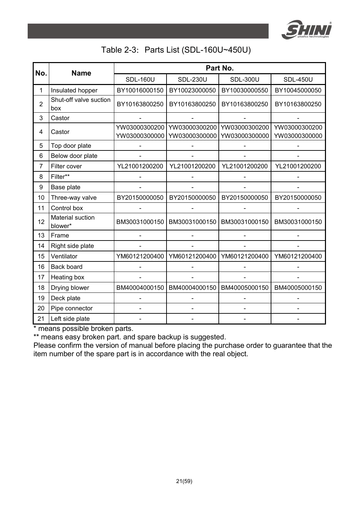

#### Table 2-3: Parts List (SDL-160U~450U)

| No.            | <b>Name</b>                   | Part No.                       |                                |                                |                                |
|----------------|-------------------------------|--------------------------------|--------------------------------|--------------------------------|--------------------------------|
|                |                               | <b>SDL-160U</b>                | <b>SDL-230U</b>                | <b>SDL-300U</b>                | <b>SDL-450U</b>                |
| 1              | Insulated hopper              | BY10016000150                  | BY10023000050                  | BY10030000550                  | BY10045000050                  |
| $\overline{2}$ | Shut-off valve suction<br>box | BY10163800250                  | BY10163800250                  | BY10163800250                  | BY10163800250                  |
| 3              | Castor                        |                                |                                |                                |                                |
| 4              | Castor                        | YW03000300200<br>YW03000300000 | YW03000300200<br>YW03000300000 | YW03000300200<br>YW03000300000 | YW03000300200<br>YW03000300000 |
| 5              | Top door plate                |                                |                                |                                |                                |
| 6              | Below door plate              |                                |                                |                                |                                |
| 7              | Filter cover                  | YL21001200200                  | YL21001200200                  | YL21001200200                  | YL21001200200                  |
| 8              | Filter**                      |                                |                                |                                |                                |
| 9              | Base plate                    |                                |                                |                                |                                |
| 10             | Three-way valve               | BY20150000050                  | BY20150000050                  | BY20150000050                  | BY20150000050                  |
| 11             | Control box                   |                                |                                |                                |                                |
| 12             | Material suction<br>blower*   | BM30031000150                  | BM30031000150                  | BM30031000150                  | BM30031000150                  |
| 13             | Frame                         |                                |                                |                                |                                |
| 14             | Right side plate              |                                |                                |                                |                                |
| 15             | Ventilator                    | YM60121200400                  | YM60121200400                  | YM60121200400                  | YM60121200400                  |
| 16             | Back board                    |                                |                                |                                |                                |
| 17             | Heating box                   |                                |                                |                                |                                |
| 18             | Drying blower                 | BM40004000150                  | BM40004000150                  | BM40005000150                  | BM40005000150                  |
| 19             | Deck plate                    |                                |                                |                                |                                |
| 20             | Pipe connector                |                                |                                |                                |                                |
| 21             | Left side plate               |                                |                                |                                |                                |

\* means possible broken parts.

\*\* means easy broken part. and spare backup is suggested.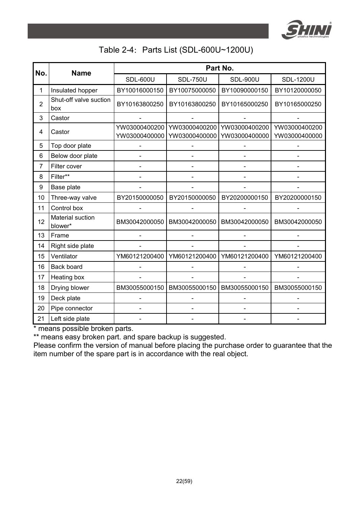

#### Table 2-4: Parts List (SDL-600U~1200U)

| No.            | <b>Name</b>                   | Part No.                       |                                |                                |                                |  |
|----------------|-------------------------------|--------------------------------|--------------------------------|--------------------------------|--------------------------------|--|
|                |                               | <b>SDL-600U</b>                | <b>SDL-750U</b>                | <b>SDL-900U</b>                | <b>SDL-1200U</b>               |  |
| 1              | Insulated hopper              | BY10016000150                  | BY10075000050                  | BY10090000150                  | BY10120000050                  |  |
| $\overline{2}$ | Shut-off valve suction<br>box | BY10163800250                  | BY10163800250                  | BY10165000250                  | BY10165000250                  |  |
| 3              | Castor                        |                                |                                |                                |                                |  |
| 4              | Castor                        | YW03000400200<br>YW03000400000 | YW03000400200<br>YW03000400000 | YW03000400200<br>YW03000400000 | YW03000400200<br>YW03000400000 |  |
| 5              | Top door plate                |                                |                                |                                |                                |  |
| 6              | Below door plate              |                                |                                |                                |                                |  |
| 7              | Filter cover                  |                                |                                |                                |                                |  |
| 8              | Filter**                      |                                |                                |                                |                                |  |
| 9              | Base plate                    |                                |                                |                                |                                |  |
| 10             | Three-way valve               | BY20150000050                  | BY20150000050                  | BY20200000150                  | BY20200000150                  |  |
| 11             | Control box                   |                                |                                |                                |                                |  |
| 12             | Material suction<br>blower*   | BM30042000050                  | BM30042000050                  | BM30042000050                  | BM30042000050                  |  |
| 13             | Frame                         |                                |                                |                                |                                |  |
| 14             | Right side plate              |                                |                                |                                |                                |  |
| 15             | Ventilator                    | YM60121200400                  | YM60121200400                  | YM60121200400                  | YM60121200400                  |  |
| 16             | Back board                    |                                |                                |                                |                                |  |
| 17             | Heating box                   |                                |                                |                                |                                |  |
| 18             | Drying blower                 | BM30055000150                  | BM30055000150                  | BM30055000150                  | BM30055000150                  |  |
| 19             | Deck plate                    |                                |                                |                                |                                |  |
| 20             | Pipe connector                |                                |                                |                                |                                |  |
| 21             | Left side plate               |                                |                                |                                |                                |  |

\* means possible broken parts.

\*\* means easy broken part. and spare backup is suggested.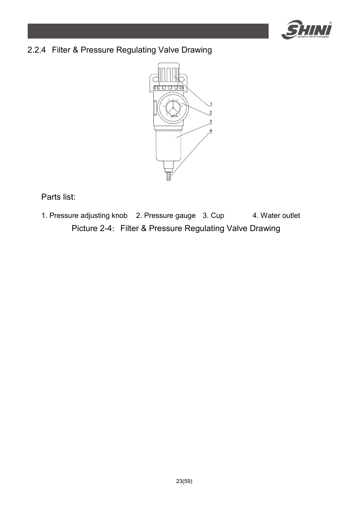

### 2.2.4 Filter & Pressure Regulating Valve Drawing



Parts list:

1. Pressure adjusting knob 2. Pressure gauge 3. Cup 4. Water outlet Picture 2-4: Filter & Pressure Regulating Valve Drawing